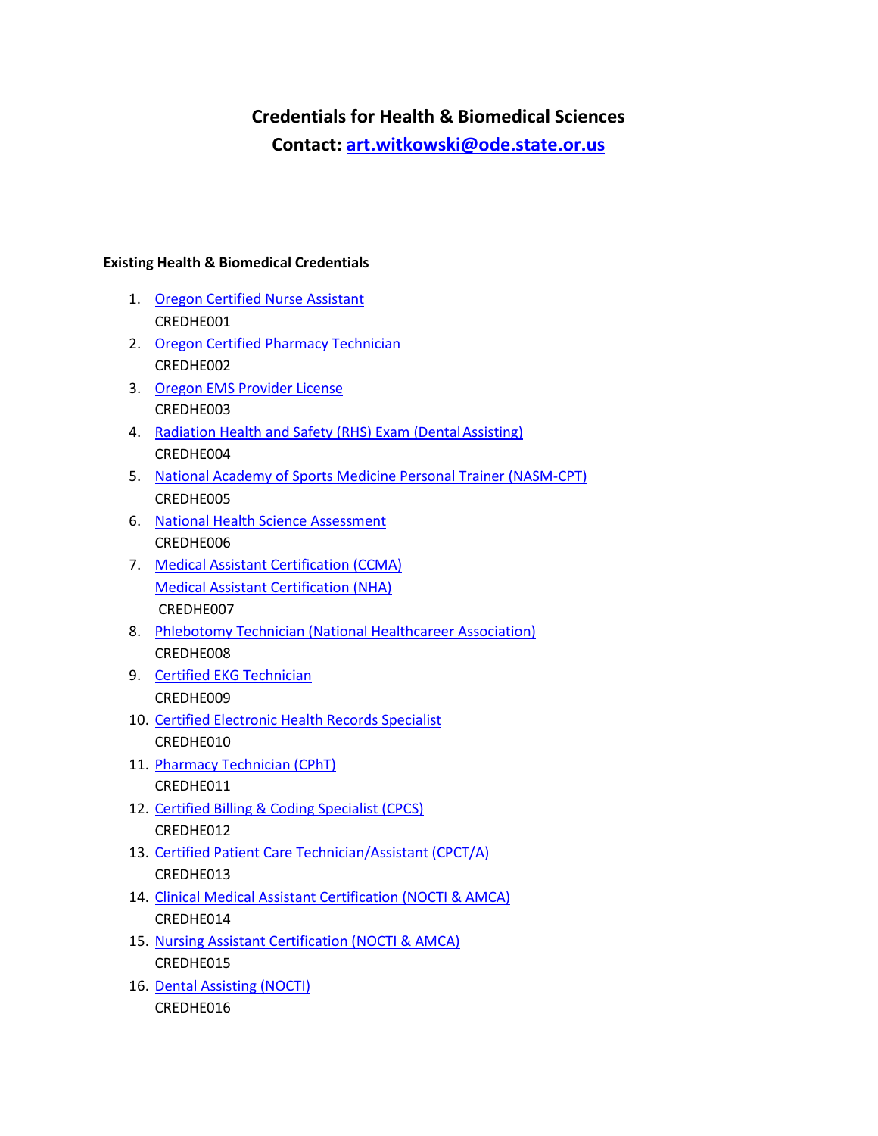## **Credentials for Health & Biomedical Sciences**

**Contact: [art.witkowski@ode.state.or.us](mailto:art.witkowski@ode.state.or.us)**

## **Existing Health & Biomedical Credentials**

- 1. [Oregon Certified Nurse Assistant](https://www.oregon.gov/osbn/Pages/apply-CNA-CMA-exam.aspx) CREDHE001
- 2. [Oregon Certified Pharmacy Technician](https://www.oregon.gov/pharmacy/pages/licensing.aspx#CERTIFIED_OREGON_PHARMACY_TECHNICIANS) CREDHE002
- 3. [Oregon EMS Provider License](https://www.oregon.gov/oha/PH/PROVIDERPARTNERRESOURCES/EMSTRAUMASYSTEMS/EMSTRAININGCERTIFICATION/Pages/index.aspx) CREDHE003
- 4. Radiation Health and Safety (RHS) Exam (Dental Assisting) CREDHE004
- 5. [National Academy of Sports Medicine Personal Trainer \(NASM-CPT\)](https://www.nasm.org/certified-personal-trainer/exam-information) CREDHE005
- 6. [National Health Science Assessment](https://www.healthscienceconsortium.org/assessment/) CREDHE006
- 7. [Medical Assistant Certification \(CCMA\)](https://www.nhanow.com/certifications/clinical-medical-assistant) [Medical Assistant Certification \(NHA\)](https://www.nhanow.com/certifications) CREDHE007
- 8. [Phlebotomy Technician \(National Healthcareer Association\)](https://www.nhanow.com/certifications/phlebotomy-technician) CREDHE008
- 9. [Certified EKG Technician](https://www.nhanow.com/certifications/ekg-technician) CREDHE009
- 10. [Certified Electronic Health Records Specialist](https://www.nhanow.com/certifications/electronic-health-records-specialist) CREDHE010
- 11. [Pharmacy Technician \(CPhT\)](https://www.nhanow.com/certifications/pharmacy-technician) CREDHE011
- 12. [Certified Billing & Coding Specialist \(CPCS\)](https://www.nhanow.com/certifications/billing-coding) CREDHE012
- 13. [Certified Patient Care Technician/Assistant \(CPCT/A\)](https://www.nhanow.com/certifications/patient-care-technician) CREDHE013
- 14. [Clinical Medical Assistant Certification \(NOCTI & AMCA\)](http://www.nocti.org/CertificateProgram-AMCA.cfm) CREDHE014
- 15. [Nursing Assistant Certification \(NOCTI & AMCA\)](http://www.nocti.org/CertificateProgram-AMCA.cfm) CREDHE015
- 16. [Dental Assisting \(NOCTI\)](http://www.nocti.org/PDFs/blueprint/4226.pdf) CREDHE016